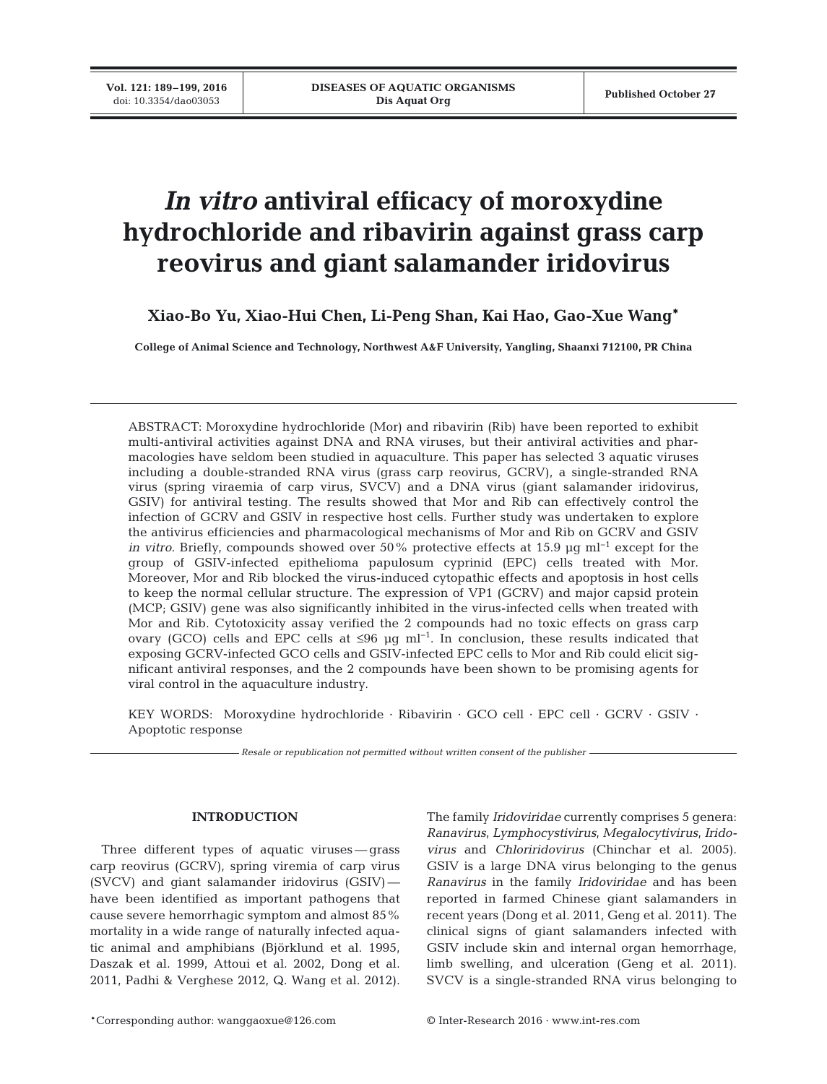**Vol. 121: 189–199, 2016**<br>doi: 10.3354/dao03053

# *In vitro* **antiviral efficacy of moroxydine hydrochloride and ribavirin against grass carp reovirus and giant salamander iridovirus**

# **Xiao-Bo Yu, Xiao-Hui Chen, Li-Peng Shan, Kai Hao, Gao-Xue Wang\***

**College of Animal Science and Technology, Northwest A&F University, Yangling, Shaanxi 712100, PR China**

ABSTRACT: Moroxydine hydrochloride (Mor) and ribavirin (Rib) have been reported to exhibit multi-antiviral activities against DNA and RNA viruses, but their antiviral activities and pharmacologies have seldom been studied in aquaculture. This paper has selected 3 aquatic viruses including a double-stranded RNA virus (grass carp reovirus, GCRV), a single-stranded RNA virus (spring viraemia of carp virus, SVCV) and a DNA virus (giant salamander iridovirus, GSIV) for antiviral testing. The results showed that Mor and Rib can effectively control the infection of GCRV and GSIV in respective host cells. Further study was undertaken to explore the antivirus efficiencies and pharmacological mechanisms of Mor and Rib on GCRV and GSIV *in vitro*. Briefly, compounds showed over 50% protective effects at 15.9 µg ml<sup>-1</sup> except for the group of GSIV-infected epithelioma papulosum cyprinid (EPC) cells treated with Mor. Moreover, Mor and Rib blocked the virus-induced cytopathic effects and apoptosis in host cells to keep the normal cellular structure. The expression of VP1 (GCRV) and major capsid protein (MCP; GSIV) gene was also significantly inhibited in the virus-infected cells when treated with Mor and Rib. Cytotoxicity assay verified the 2 compounds had no toxic effects on grass carp ovary (GCO) cells and EPC cells at  $\leq 96$  µg ml<sup>-1</sup>. In conclusion, these results indicated that exposing GCRV-infected GCO cells and GSIV-infected EPC cells to Mor and Rib could elicit significant antiviral responses, and the 2 compounds have been shown to be promising agents for viral control in the aquaculture industry.

KEY WORDS: Moroxydine hydrochloride · Ribavirin · GCO cell · EPC cell · GCRV · GSIV · Apoptotic response

*Resale or republication not permitted without written consent of the publisher*

#### **INTRODUCTION**

Three different types of aquatic viruses — grass carp reovirus (GCRV), spring viremia of carp virus (SVCV) and giant salamander iridovirus (GSIV) have been identified as important pathogens that cause severe hemorrhagic symptom and almost 85% mortality in a wide range of naturally infected aquatic animal and amphibians (Björklund et al. 1995, Daszak et al. 1999, Attoui et al. 2002, Dong et al. 2011, Padhi & Verghese 2012, Q. Wang et al. 2012).

The family *Iridoviridae* currently comprises 5 genera: *Ranavirus*, *Lymphocystivirus*, *Megalocytivirus*, *Irido virus* and *Chloriridovirus* (Chinchar et al. 2005). GSIV is a large DNA virus belonging to the genus *Ranavirus* in the family *Iridoviridae* and has been reported in farmed Chinese giant salamanders in recent years (Dong et al. 2011, Geng et al. 2011). The clinical signs of giant salamanders infected with GSIV include skin and internal organ hemorrhage, limb swelling, and ulceration (Geng et al. 2011). SVCV is a single-stranded RNA virus belonging to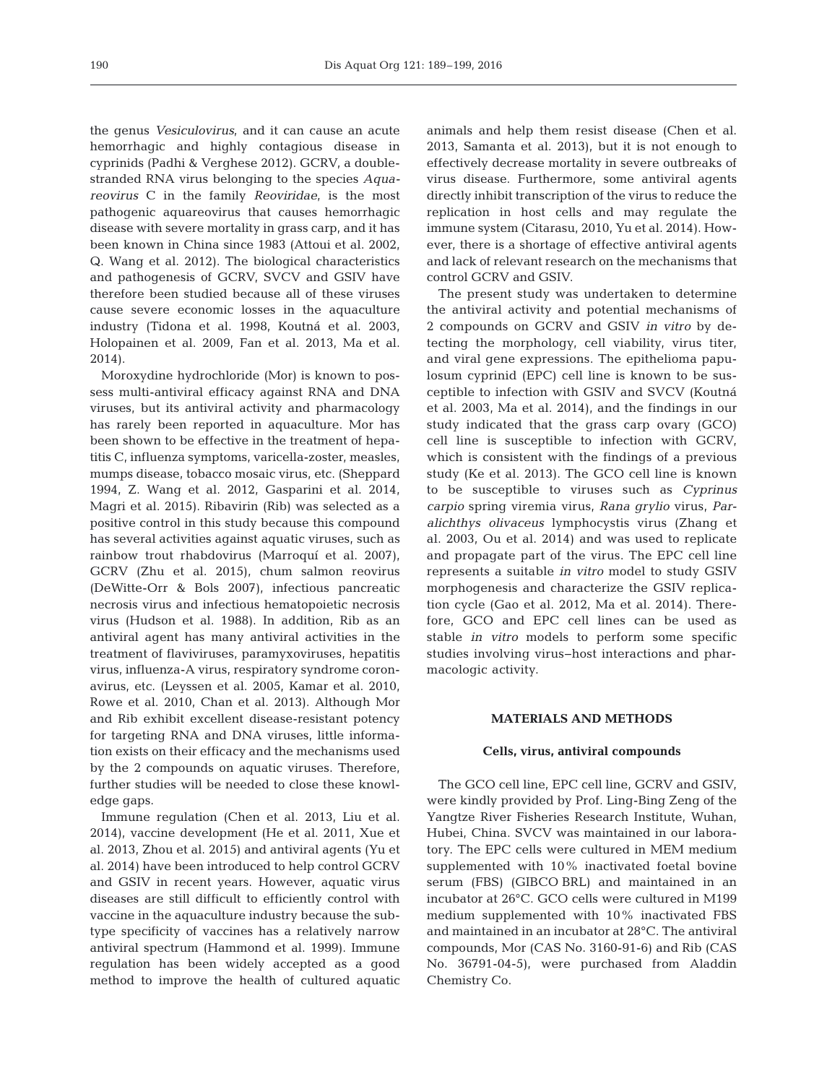the genus *Vesiculovirus*, and it can cause an acute hemorrhagic and highly contagious disease in cyprinids (Padhi & Verghese 2012). GCRV, a doublestranded RNA virus belonging to the species *Aquareovirus* C in the family *Reoviridae*, is the most pathogenic aquareovirus that causes hemorrhagic disease with severe mortality in grass carp, and it has been known in China since 1983 (Attoui et al. 2002, Q. Wang et al. 2012). The biological characteristics and pathogenesis of GCRV, SVCV and GSIV have therefore been studied because all of these viruses cause severe economic losses in the aquaculture industry (Tidona et al. 1998, Koutná et al. 2003, Holopainen et al. 2009, Fan et al. 2013, Ma et al. 2014).

Moroxydine hydrochloride (Mor) is known to possess multi-antiviral efficacy against RNA and DNA viruses, but its antiviral activity and pharmacology has rarely been reported in aquaculture. Mor has been shown to be effective in the treatment of hepatitis C, influenza symptoms, varicella-zoster, measles, mumps disease, tobacco mosaic virus, etc. (Sheppard 1994, Z. Wang et al. 2012, Gasparini et al. 2014, Magri et al. 2015). Ribavirin (Rib) was selected as a positive control in this study because this compound has several activities against aquatic viruses, such as rainbow trout rhabdovirus (Marroquí et al. 2007), GCRV (Zhu et al. 2015), chum salmon reovirus (DeWitte-Orr & Bols 2007), infectious pancreatic necrosis virus and infectious hematopoietic necrosis virus (Hudson et al. 1988). In addition, Rib as an antiviral agent has many antiviral activities in the treatment of flaviviruses, paramyxoviruses, hepatitis virus, influenza-A virus, respiratory syndrome coronavirus, etc. (Leyssen et al. 2005, Kamar et al. 2010, Rowe et al. 2010, Chan et al. 2013). Although Mor and Rib exhibit excellent disease-resistant potency for targeting RNA and DNA viruses, little information exists on their efficacy and the mechanisms used by the 2 compounds on aquatic viruses. Therefore, further studies will be needed to close these knowledge gaps.

Immune regulation (Chen et al. 2013, Liu et al. 2014), vaccine development (He et al. 2011, Xue et al. 2013, Zhou et al. 2015) and antiviral agents (Yu et al. 2014) have been introduced to help control GCRV and GSIV in recent years. However, aquatic virus diseases are still difficult to efficiently control with vaccine in the aquaculture industry because the subtype specificity of vaccines has a relatively narrow antiviral spectrum (Hammond et al. 1999). Immune regulation has been widely accepted as a good method to improve the health of cultured aquatic animals and help them resist disease (Chen et al. 2013, Samanta et al. 2013), but it is not enough to effectively decrease mortality in severe outbreaks of virus disease. Furthermore, some antiviral agents directly inhibit transcription of the virus to reduce the replication in host cells and may regulate the immune system (Citarasu, 2010, Yu et al. 2014). However, there is a shortage of effective antiviral agents and lack of relevant research on the mechanisms that control GCRV and GSIV.

The present study was undertaken to determine the antiviral activity and potential mechanisms of 2 compounds on GCRV and GSIV *in vitro* by de tecting the morphology, cell viability, virus titer, and viral gene expressions. The epithelioma papulosum cyprinid (EPC) cell line is known to be susceptible to infection with GSIV and SVCV (Koutná et al. 2003, Ma et al. 2014), and the findings in our study indicated that the grass carp ovary (GCO) cell line is susceptible to infection with GCRV, which is consistent with the findings of a previous study (Ke et al. 2013). The GCO cell line is known to be susceptible to viruses such as *Cyprinus carpio* spring viremia virus, *Rana grylio* virus, *Paralichthys olivaceus* lymphocystis virus (Zhang et al. 2003, Ou et al. 2014) and was used to replicate and propagate part of the virus. The EPC cell line represents a suitable *in vitro* model to study GSIV morphogenesis and characterize the GSIV replication cycle (Gao et al. 2012, Ma et al. 2014). Therefore, GCO and EPC cell lines can be used as stable *in vitro* models to perform some specific studies involving virus−host interactions and pharmacologic activity.

#### **MATERIALS AND METHODS**

#### **Cells, virus, antiviral compounds**

The GCO cell line, EPC cell line, GCRV and GSIV, were kindly provided by Prof. Ling-Bing Zeng of the Yangtze River Fisheries Research Institute, Wuhan, Hubei, China. SVCV was maintained in our laboratory. The EPC cells were cultured in MEM medium supplemented with 10% inactivated foetal bovine serum (FBS) (GIBCO BRL) and maintained in an incubator at 26°C. GCO cells were cultured in M199 medium supplemented with 10% inactivated FBS and maintained in an incubator at 28°C. The antiviral compounds, Mor (CAS No. 3160-91-6) and Rib (CAS No. 36791-04-5), were purchased from Aladdin Chemistry Co.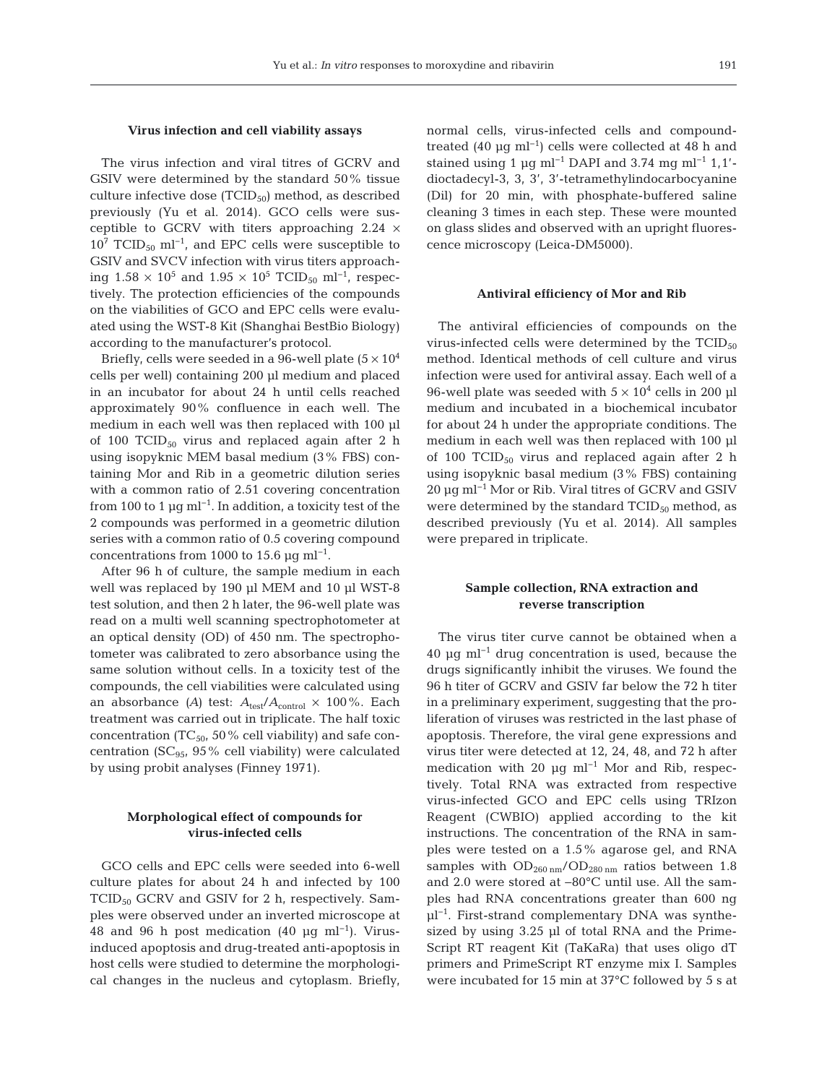#### **Virus infection and cell viability assays**

The virus infection and viral titres of GCRV and GSIV were determined by the standard 50% tissue culture infective dose  $(TCID_{50})$  method, as described previously (Yu et al. 2014). GCO cells were susceptible to GCRV with titers approaching  $2.24 \times$  $10^7$  TCID<sub>50</sub> ml<sup>-1</sup>, and EPC cells were susceptible to GSIV and SVCV infection with virus titers approaching  $1.58 \times 10^5$  and  $1.95 \times 10^5$  TCID<sub>50</sub> ml<sup>-1</sup>, respectively. The protection efficiencies of the compounds on the viabilities of GCO and EPC cells were evaluated using the WST-8 Kit (Shanghai BestBio Biology) according to the manufacturer's protocol.

Briefly, cells were seeded in a 96-well plate  $(5 \times 10^4)$ cells per well) containing 200 µl medium and placed in an incubator for about 24 h until cells reached approximately 90% confluence in each well. The medium in each well was then replaced with 100 µl of 100  $TCID_{50}$  virus and replaced again after 2 h using isopyknic MEM basal medium (3% FBS) containing Mor and Rib in a geometric dilution series with a common ratio of 2.51 covering concentration from 100 to 1  $\mu$ g ml<sup>-1</sup>. In addition, a toxicity test of the 2 compounds was performed in a geometric dilution series with a common ratio of 0.5 covering compound concentrations from 1000 to 15.6  $\mu$ q ml<sup>-1</sup>.

After 96 h of culture, the sample medium in each well was replaced by 190 µl MEM and 10 µl WST-8 test solution, and then 2 h later, the 96-well plate was read on a multi well scanning spectrophotometer at an optical density (OD) of 450 nm. The spectrophotometer was calibrated to zero absorbance using the same solution without cells. In a toxicity test of the compounds, the cell viabilities were calculated using an absorbance (A) test:  $A_{\text{test}}/A_{\text{control}} \times 100\%$ . Each treatment was carried out in triplicate. The half toxic concentration ( $TC_{50}$ , 50% cell viability) and safe concentration ( $SC_{95}$ ,  $95\%$  cell viability) were calculated by using probit analyses (Finney 1971).

## **Morphological effect of compounds for virus-infected cells**

GCO cells and EPC cells were seeded into 6-well culture plates for about 24 h and infected by 100 TCID<sub>50</sub> GCRV and GSIV for 2 h, respectively. Samples were observed under an inverted microscope at 48 and 96 h post medication (40 µg ml<sup>-1</sup>). Virusinduced apoptosis and drug-treated anti-apoptosis in host cells were studied to determine the morphological changes in the nucleus and cytoplasm. Briefly, normal cells, virus-infected cells and compoundtreated  $(40 \text{ µq ml}^{-1})$  cells were collected at 48 h and stained using 1 µg ml<sup>-1</sup> DAPI and 3.74 mg ml<sup>-1</sup> 1,1'dioctadecyl-3, 3, 3', 3'-tetramethylindocarbocyanine (Dil) for 20 min, with phosphate-buffered saline cleaning 3 times in each step. These were mounted on glass slides and observed with an upright fluorescence microscopy (Leica-DM5000).

#### **Antiviral efficiency of Mor and Rib**

The antiviral efficiencies of compounds on the virus-infected cells were determined by the  $TCID_{50}$ method. Identical methods of cell culture and virus infection were used for antiviral assay. Each well of a 96-well plate was seeded with  $5 \times 10^4$  cells in 200 µl medium and incubated in a biochemical incubator for about 24 h under the appropriate conditions. The medium in each well was then replaced with 100 µl of 100 TCID $_{50}$  virus and replaced again after 2 h using isopyknic basal medium (3% FBS) containing 20 µg ml−1 Mor or Rib. Viral titres of GCRV and GSIV were determined by the standard  $TCID_{50}$  method, as described previously (Yu et al. 2014). All samples were prepared in triplicate.

## **Sample collection, RNA extraction and reverse transcription**

The virus titer curve cannot be obtained when a 40 µg ml−1 drug concentration is used, because the drugs significantly inhibit the viruses. We found the 96 h titer of GCRV and GSIV far below the 72 h titer in a preliminary experiment, suggesting that the proliferation of viruses was restricted in the last phase of apoptosis. Therefore, the viral gene expressions and virus titer were detected at 12, 24, 48, and 72 h after medication with 20 µg ml<sup>-1</sup> Mor and Rib, respectively. Total RNA was extracted from respective virus-infected GCO and EPC cells using TRIzon Reagent (CWBIO) applied according to the kit instructions. The concentration of the RNA in samples were tested on a 1.5% agarose gel, and RNA samples with  $OD_{260 \text{ nm}}/OD_{280 \text{ nm}}$  ratios between 1.8 and 2.0 were stored at −80°C until use. All the samples had RNA concentrations greater than 600 ng µl<sup>-1</sup>. First-strand complementary DNA was synthesized by using 3.25 µl of total RNA and the Prime-Script RT reagent Kit (TaKaRa) that uses oligo dT primers and PrimeScript RT enzyme mix I. Samples were incubated for 15 min at 37°C followed by 5 s at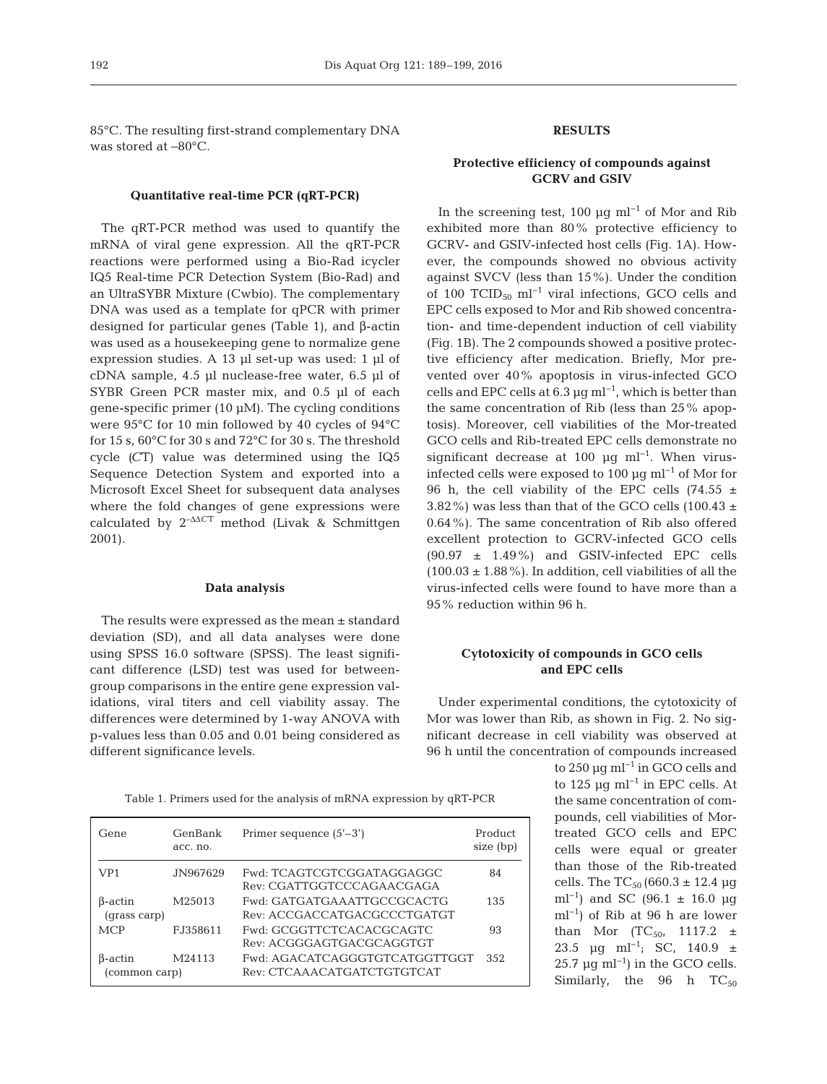85°C. The resulting first-strand complementary DNA was stored at −80°C.

#### **Quantitative real-time PCR (qRT-PCR)**

The qRT-PCR method was used to quantify the mRNA of viral gene expression. All the qRT-PCR reactions were performed using a Bio-Rad icycler IQ5 Real-time PCR Detection System (Bio-Rad) and an UltraSYBR Mixture (Cwbio). The complementary DNA was used as a template for qPCR with primer designed for particular genes (Table 1), and β-actin was used as a housekeeping gene to normalize gene expression studies. A 13 µl set-up was used: 1 µl of cDNA sample, 4.5 µl nuclease-free water, 6.5 µl of SYBR Green PCR master mix, and 0.5 µl of each gene-specific primer (10 µM). The cycling conditions were 95°C for 10 min followed by 40 cycles of 94°C for 15 s, 60°C for 30 s and 72°C for 30 s. The threshold cycle *(C*T) value was determined using the IQ5 Sequence Detection System and exported into a Microsoft Excel Sheet for subsequent data analyses where the fold changes of gene expressions were calculated by 2–ΔΔ*C*<sup>T</sup> method (Livak & Schmittgen 2001).

#### **Data analysis**

The results were expressed as the mean ± standard deviation (SD), and all data analyses were done using SPSS 16.0 software (SPSS). The least significant difference (LSD) test was used for betweengroup comparisons in the entire gene expression validations, viral titers and cell viability assay. The differences were determined by 1-way ANOVA with p-values less than 0.05 and 0.01 being considered as different significance levels.

Table 1. Primers used for the analysis of mRNA expression by qRT-PCR

| Gene                     | GenBank<br>acc. no. | Primer sequence $(5'$ –3')                                  | Product<br>size (bp) |
|--------------------------|---------------------|-------------------------------------------------------------|----------------------|
| VP1                      | JN967629            | Fwd: TCAGTCGTCGGATAGGAGGC<br>Rev. CGATTGGTCCCAGAACGAGA      | 84                   |
| B-actin<br>(qrass carp)  | M25013              | Fwd: GATGATGAAATTGCCGCACTG<br>Rev: ACCGACCATGACGCCCTGATGT   | 135                  |
| <b>MCP</b>               | E.I.358611          | Fwd: GCGGTTCTCACACGCAGTC<br>Rev: ACGGGAGTGACGCAGGTGT        | 93                   |
| B-actin<br>(common carp) | M24113              | Fwd: AGACATCAGGGTGTCATGGTTGGT<br>Rev. CTCAAACATGATCTGTGTCAT | 352                  |

# **RESULTS**

# **Protective efficiency of compounds against GCRV and GSIV**

In the screening test, 100 µg ml−1 of Mor and Rib exhibited more than 80% protective efficiency to GCRV- and GSIV-infected host cells (Fig. 1A). However, the compounds showed no obvious activity against SVCV (less than 15%). Under the condition of 100 TCID<sub>50</sub> ml<sup>-1</sup> viral infections, GCO cells and EPC cells exposed to Mor and Rib showed concentration- and time-dependent induction of cell viability (Fig. 1B). The 2 compounds showed a positive protective efficiency after medication. Briefly, Mor prevented over 40% apoptosis in virus-infected GCO cells and EPC cells at  $6.3 \,\text{\mu g m}^{-1}$ , which is better than the same concentration of Rib (less than 25% apoptosis). Moreover, cell viabilities of the Mor-treated GCO cells and Rib-treated EPC cells demonstrate no significant decrease at 100 µg ml<sup>-1</sup>. When virusinfected cells were exposed to 100 µg ml−1 of Mor for 96 h, the cell viability of the EPC cells  $(74.55 \pm$ 3.82%) was less than that of the GCO cells  $(100.43 \pm 100.43)$ 0.64%). The same concentration of Rib also offered excellent protection to GCRV-infected GCO cells  $(90.97 \pm 1.49\%)$  and GSIV-infected EPC cells (100.03  $\pm$  1.88%). In addition, cell viabilities of all the virus-infected cells were found to have more than a 95% reduction within 96 h.

## **Cytotoxicity of compounds in GCO cells and EPC cells**

Under experimental conditions, the cytotoxicity of Mor was lower than Rib, as shown in Fig. 2. No significant decrease in cell viability was observed at 96 h until the concentration of compounds increased

> to 250 µg ml−1 in GCO cells and to 125 µg ml−1 in EPC cells. At the same concentration of compounds, cell viabilities of Mortreated GCO cells and EPC cells were equal or greater than those of the Rib-treated cells. The  $TC_{50}$  (660.3 ± 12.4 µg ml<sup>-1</sup>) and SC (96.1  $\pm$  16.0 µg ml−1) of Rib at 96 h are lower than Mor  $(TC_{50}, 1117.2 \pm$ 23.5 µg ml<sup>-1</sup>; SC, 140.9 ± 25.7 µg ml<sup>-1</sup>) in the GCO cells. Similarly, the 96 h  $TC_{50}$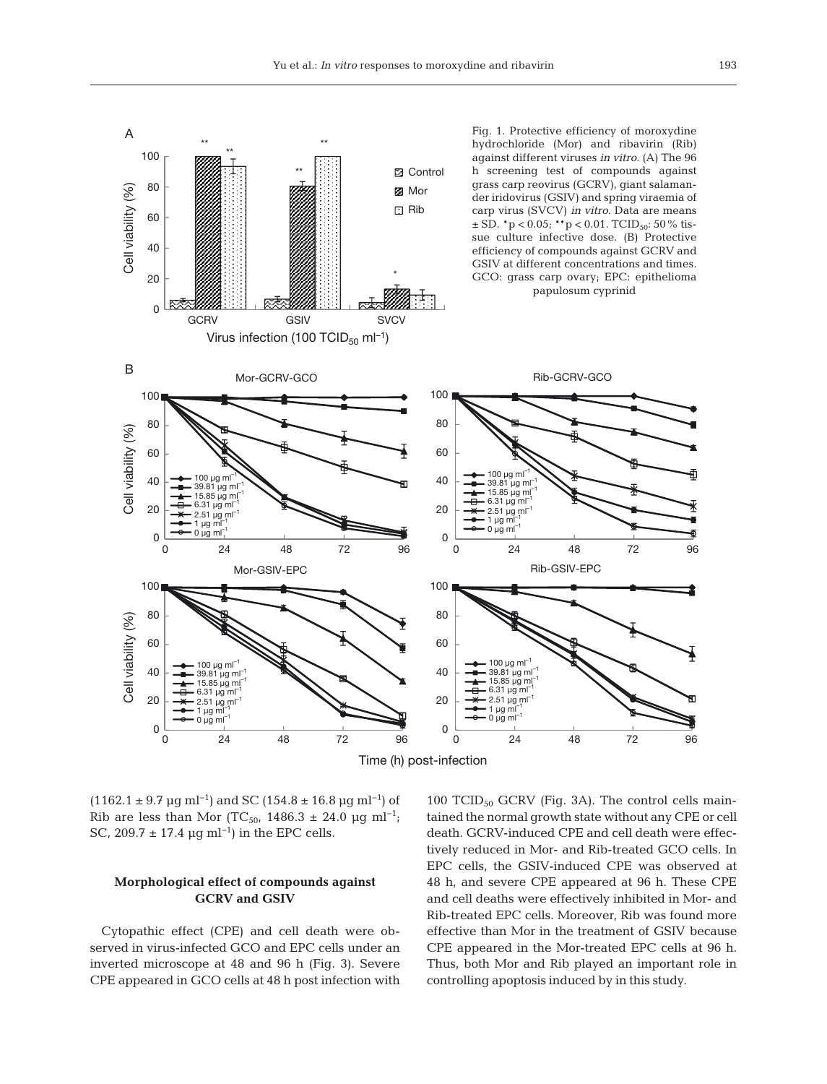

(1162.1 ± 9.7 µg ml<sup>-1</sup>) and SC (154.8 ± 16.8 µg ml<sup>-1</sup>) of Rib are less than Mor (TC<sub>50</sub>, 1486.3 ± 24.0 µg ml<sup>-1</sup>; SC, 209.7  $\pm$  17.4 µg ml<sup>-1</sup>) in the EPC cells.

## **Morphological effect of compounds against GCRV and GSIV**

Cytopathic effect (CPE) and cell death were ob served in virus-infected GCO and EPC cells under an inverted microscope at 48 and 96 h (Fig. 3). Severe CPE appeared in GCO cells at 48 h post infection with 100 TCID<sub>50</sub> GCRV (Fig. 3A). The control cells maintained the normal growth state without any CPE or cell death. GCRV-induced CPE and cell death were effectively reduced in Mor- and Rib-treated GCO cells. In EPC cells, the GSIV-induced CPE was observed at 48 h, and severe CPE appeared at 96 h. These CPE and cell deaths were effectively inhibited in Mor- and Rib-treated EPC cells. Moreover, Rib was found more effective than Mor in the treatment of GSIV because CPE appeared in the Mor-treated EPC cells at 96 h. Thus, both Mor and Rib played an important role in controlling apoptosis induced by in this study.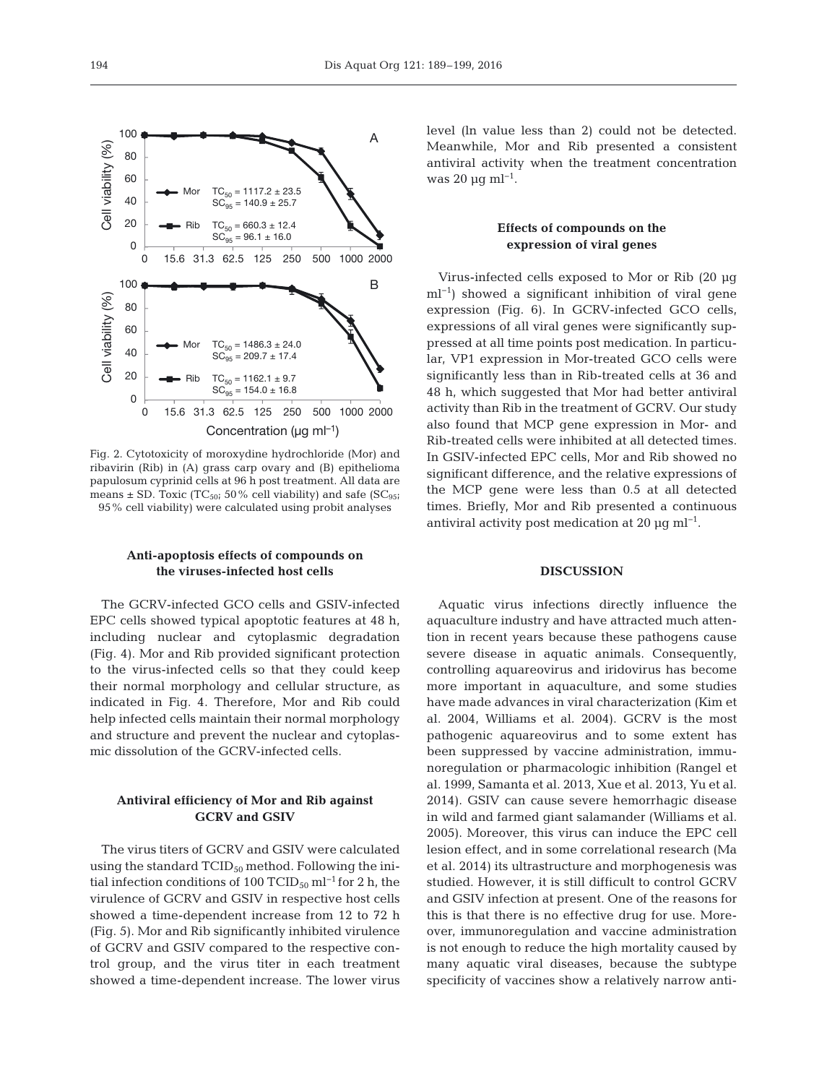

Fig. 2. Cytotoxicity of moroxydine hydrochloride (Mor) and ribavirin (Rib) in (A) grass carp ovary and (B) epithelioma papulosum cyprinid cells at 96 h post treatment. All data are means  $\pm$  SD. Toxic (TC<sub>50</sub>; 50% cell viability) and safe (SC<sub>95</sub>; 95% cell viability) were calculated using probit analyses

## **Anti-apoptosis effects of compounds on the viruses-infected host cells**

The GCRV-infected GCO cells and GSIV-infected EPC cells showed typical apoptotic features at 48 h, including nuclear and cytoplasmic degradation (Fig. 4). Mor and Rib provided significant protection to the virus-infected cells so that they could keep their normal morphology and cellular structure, as indicated in Fig. 4. Therefore, Mor and Rib could help infected cells maintain their normal morphology and structure and prevent the nuclear and cytoplasmic dissolution of the GCRV-infected cells.

# **Antiviral efficiency of Mor and Rib against GCRV and GSIV**

The virus titers of GCRV and GSIV were calculated using the standard  $TCID_{50}$  method. Following the initial infection conditions of 100 TCID<sub>50</sub> ml<sup>-1</sup> for 2 h, the virulence of GCRV and GSIV in respective host cells showed a time-dependent increase from 12 to 72 h (Fig. 5). Mor and Rib significantly inhibited virulence of GCRV and GSIV compared to the respective control group, and the virus titer in each treatment showed a time-dependent increase. The lower virus

level (ln value less than 2) could not be detected. Meanwhile, Mor and Rib presented a consistent antiviral activity when the treatment concentration was 20  $\mu$ q ml<sup>-1</sup>.

## **Effects of compounds on the expression of viral genes**

Virus-infected cells exposed to Mor or Rib (20 µg ml<sup>-1</sup>) showed a significant inhibition of viral gene expression (Fig. 6). In GCRV-infected GCO cells, expressions of all viral genes were significantly suppressed at all time points post medication. In particular, VP1 expression in Mor-treated GCO cells were significantly less than in Rib-treated cells at 36 and 48 h, which suggested that Mor had better antiviral activity than Rib in the treatment of GCRV. Our study also found that MCP gene expression in Mor- and Rib-treated cells were inhibited at all detected times. In GSIV-infected EPC cells, Mor and Rib showed no significant difference, and the relative expressions of the MCP gene were less than 0.5 at all detected times. Briefly, Mor and Rib presented a continuous antiviral activity post medication at 20  $\mu$ g ml<sup>-1</sup>.

#### **DISCUSSION**

Aquatic virus infections directly influence the aquaculture industry and have attracted much attention in recent years because these pathogens cause severe disease in aquatic animals. Consequently, controlling aquareovirus and iridovirus has become more important in aquaculture, and some studies have made advances in viral characterization (Kim et al. 2004, Williams et al. 2004). GCRV is the most pathogenic aquareovirus and to some extent has been suppressed by vaccine administration, immunoregulation or pharmacologic inhibition (Rangel et al. 1999, Samanta et al. 2013, Xue et al. 2013, Yu et al. 2014). GSIV can cause severe hemorrhagic disease in wild and farmed giant salamander (Williams et al. 2005). Moreover, this virus can induce the EPC cell lesion effect, and in some correlational research (Ma et al. 2014) its ultrastructure and morphogenesis was studied. However, it is still difficult to control GCRV and GSIV infection at present. One of the reasons for this is that there is no effective drug for use. Moreover, immunoregulation and vaccine administration is not enough to reduce the high mortality caused by many aquatic viral diseases, because the subtype specificity of vaccines show a relatively narrow anti-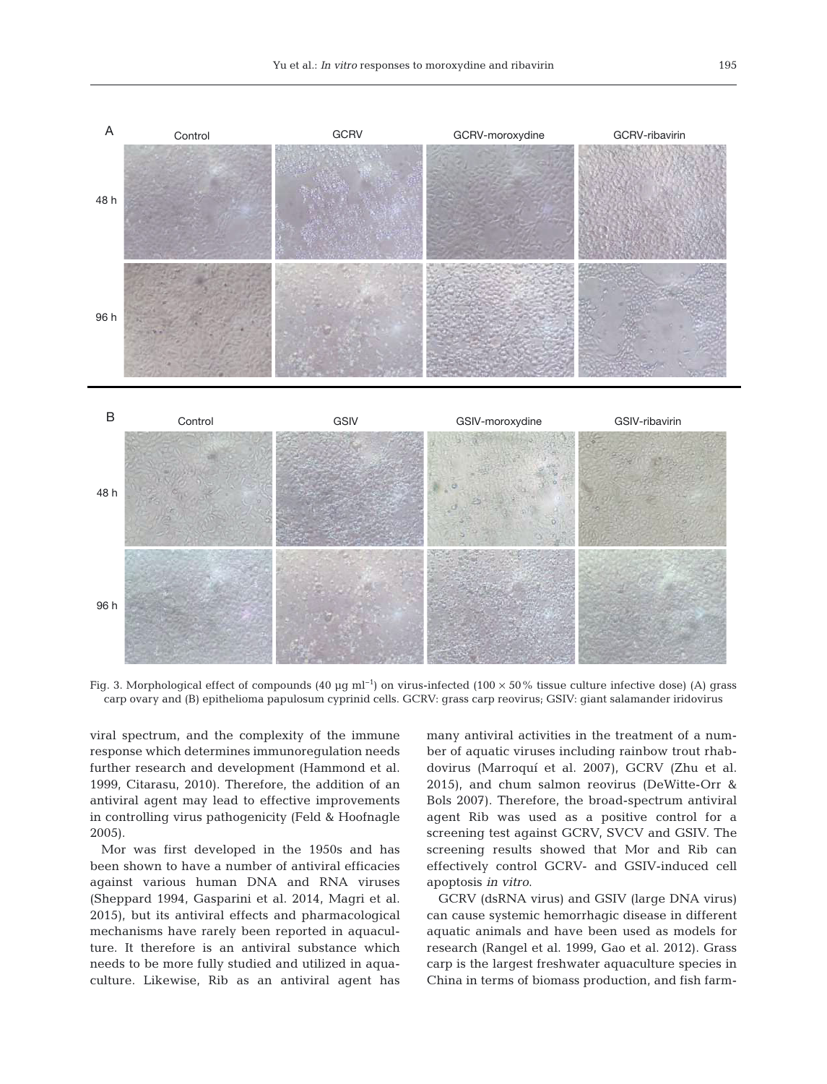



Fig. 3. Morphological effect of compounds (40 µg ml<sup>-1</sup>) on virus-infected (100 × 50% tissue culture infective dose) (A) grass carp ovary and (B) epithelioma papulosum cyprinid cells. GCRV: grass carp reovirus; GSIV: giant salamander iridovirus

viral spectrum, and the complexity of the immune response which determines immunoregulation needs further research and development (Hammond et al. 1999, Citarasu, 2010). Therefore, the addition of an antiviral agent may lead to effective improvements in controlling virus pathogenicity (Feld & Hoofnagle 2005).

Mor was first developed in the 1950s and has been shown to have a number of antiviral efficacies against various human DNA and RNA viruses (Sheppard 1994, Gasparini et al. 2014, Magri et al. 2015), but its antiviral effects and pharmacological mechanisms have rarely been reported in aquaculture. It therefore is an antiviral substance which needs to be more fully studied and utilized in aquaculture. Likewise, Rib as an antiviral agent has many antiviral activities in the treatment of a number of aquatic viruses including rainbow trout rhabdovirus (Marroquí et al. 2007), GCRV (Zhu et al. 2015), and chum salmon reovirus (DeWitte-Orr & Bols 2007). Therefore, the broad-spectrum antiviral agent Rib was used as a positive control for a screening test against GCRV, SVCV and GSIV. The screening results showed that Mor and Rib can effectively control GCRV- and GSIV-induced cell apoptosis *in vitro*.

GCRV (dsRNA virus) and GSIV (large DNA virus) can cause systemic hemorrhagic disease in different aquatic animals and have been used as models for research (Rangel et al. 1999, Gao et al. 2012). Grass carp is the largest freshwater aquaculture species in China in terms of biomass production, and fish farm-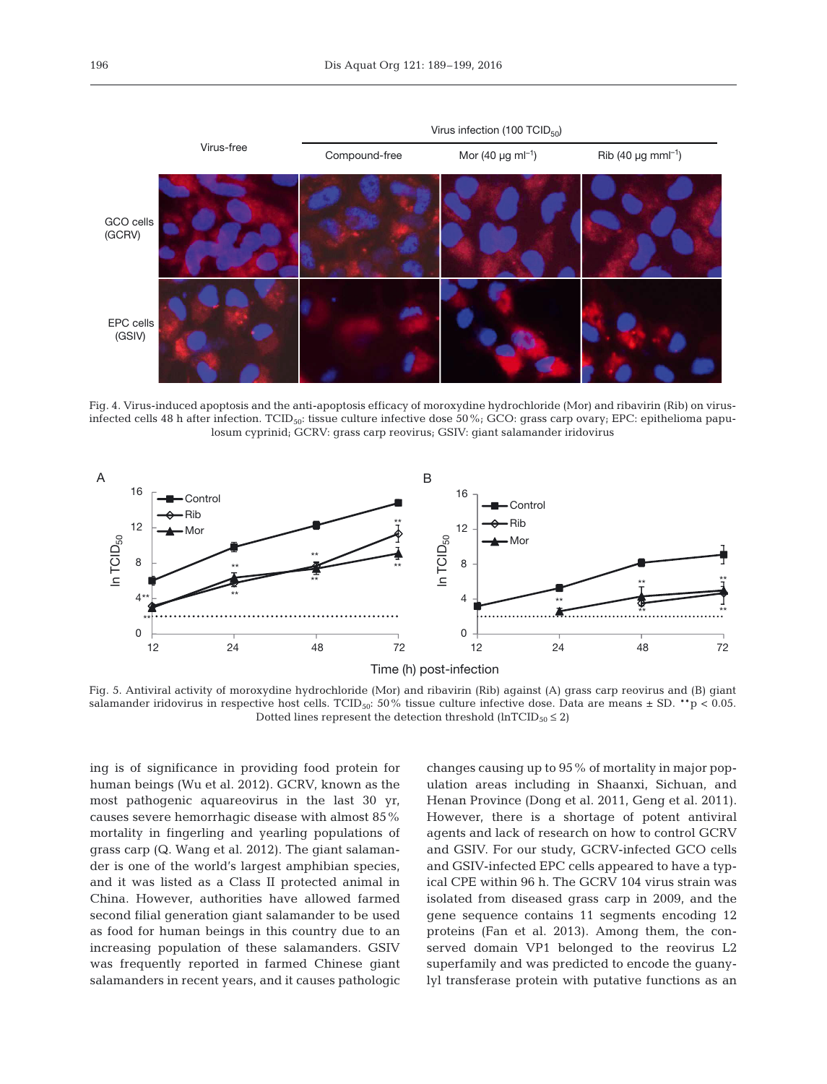

Fig. 4. Virus-induced apoptosis and the anti-apoptosis efficacy of moroxydine hydrochloride (Mor) and ribavirin (Rib) on virusinfected cells 48 h after infection. TCID<sub>50</sub>: tissue culture infective dose 50%; GCO: grass carp ovary; EPC: epithelioma papulosum cyprinid; GCRV: grass carp reovirus; GSIV: giant salamander iridovirus



Fig. 5. Antiviral activity of moroxydine hydrochloride (Mor) and ribavirin (Rib) against (A) grass carp reovirus and (B) giant salamander iridovirus in respective host cells. TCID<sub>50</sub>: 50% tissue culture infective dose. Data are means  $\pm$  SD. \*\*p < 0.05. Dotted lines represent the detection threshold (lnTCID $_{50} \le 2$ )

ing is of significance in providing food protein for human beings (Wu et al. 2012). GCRV, known as the most pathogenic aquareovirus in the last 30 yr, causes severe hemorrhagic disease with almost 85% mortality in fingerling and yearling populations of grass carp (Q. Wang et al. 2012). The giant salamander is one of the world's largest amphibian species, and it was listed as a Class II protected animal in China. However, authorities have allowed farmed second filial generation giant salamander to be used as food for human beings in this country due to an increasing population of these salamanders. GSIV was frequently reported in farmed Chinese giant salamanders in recent years, and it causes pathologic

changes causing up to 95% of mortality in major population areas including in Shaanxi, Sichuan, and Henan Province (Dong et al. 2011, Geng et al. 2011). However, there is a shortage of potent antiviral agents and lack of research on how to control GCRV and GSIV. For our study, GCRV-infected GCO cells and GSIV-infected EPC cells appeared to have a typical CPE within 96 h. The GCRV 104 virus strain was isolated from diseased grass carp in 2009, and the gene sequence contains 11 segments encoding 12 proteins (Fan et al. 2013). Among them, the conserved domain VP1 belonged to the reovirus L2 superfamily and was predicted to encode the guanylyl transferase protein with putative functions as an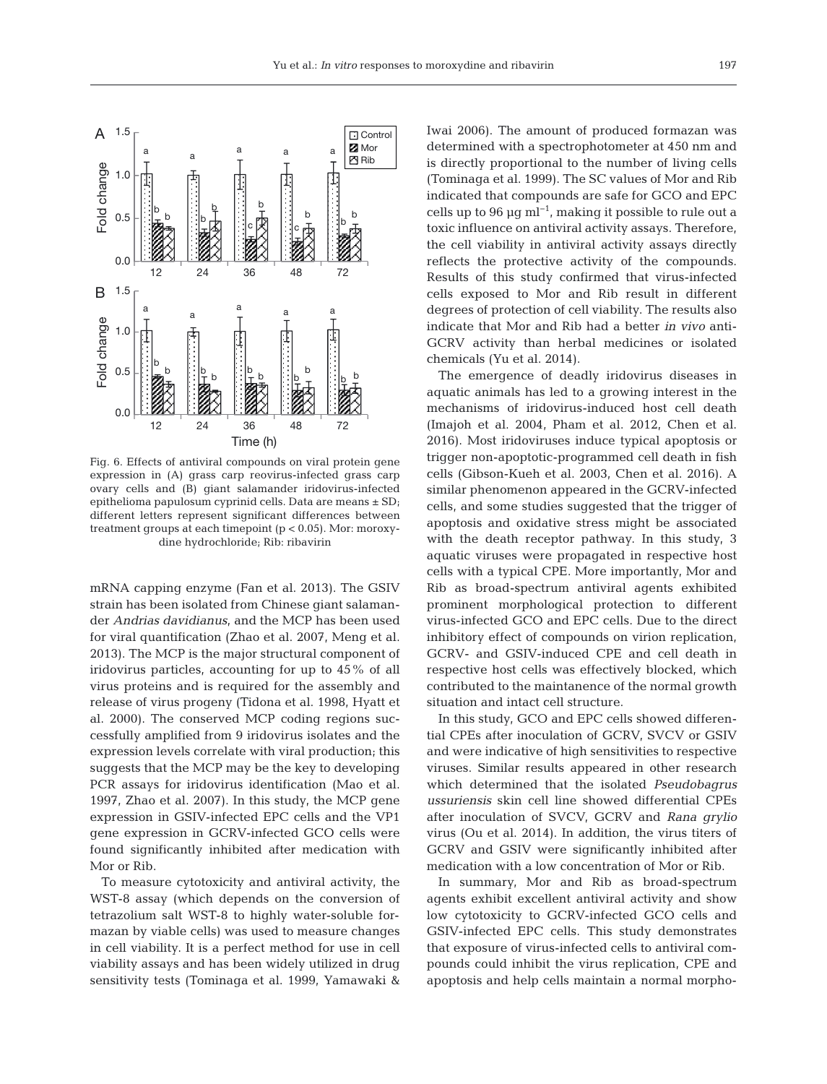

Fig. 6. Effects of antiviral compounds on viral protein gene expression in (A) grass carp reovirus-infected grass carp ovary cells and (B) giant salamander iridovirus-infected epithelioma papulosum cyprinid cells. Data are means ± SD; different letters represent significant differences between treatment groups at each timepoint (p < 0.05). Mor: moroxydine hydrochloride; Rib: ribavirin

mRNA capping enzyme (Fan et al. 2013). The GSIV strain has been isolated from Chinese giant salamander *Andrias davidianus*, and the MCP has been used for viral quantification (Zhao et al. 2007, Meng et al. 2013). The MCP is the major structural component of iridovirus particles, accounting for up to 45% of all virus proteins and is required for the assembly and release of virus progeny (Tidona et al. 1998, Hyatt et al. 2000). The conserved MCP coding regions successfully amplified from 9 iridovirus isolates and the expression levels correlate with viral production; this suggests that the MCP may be the key to developing PCR assays for iridovirus identification (Mao et al. 1997, Zhao et al. 2007). In this study, the MCP gene expression in GSIV-infected EPC cells and the VP1 gene expression in GCRV-infected GCO cells were found significantly inhibited after medication with Mor or Rib.

To measure cytotoxicity and antiviral activity, the WST-8 assay (which depends on the conversion of tetrazolium salt WST-8 to highly water-soluble formazan by viable cells) was used to measure changes in cell viability. It is a perfect method for use in cell viability assays and has been widely utilized in drug sensitivity tests (Tominaga et al. 1999, Yamawaki & Iwai 2006). The amount of produced formazan was determined with a spectrophotometer at 450 nm and is directly proportional to the number of living cells (Tominaga et al. 1999). The SC values of Mor and Rib indicated that compounds are safe for GCO and EPC cells up to 96 µg ml−1, making it possible to rule out a toxic influence on antiviral activity assays. Therefore, the cell viability in antiviral activity assays directly reflects the protective activity of the compounds. Results of this study confirmed that virus-infected cells exposed to Mor and Rib result in different degrees of protection of cell viability. The results also indicate that Mor and Rib had a better *in vivo* anti-GCRV activity than herbal medicines or isolated chemicals (Yu et al. 2014).

The emergence of deadly iridovirus diseases in aquatic animals has led to a growing interest in the mechanisms of iridovirus-induced host cell death (Imajoh et al. 2004, Pham et al. 2012, Chen et al. 2016). Most iridoviruses induce typical apoptosis or trigger non-apoptotic-programmed cell death in fish cells (Gibson-Kueh et al. 2003, Chen et al. 2016). A similar phenomenon appeared in the GCRV-infected cells, and some studies suggested that the trigger of apoptosis and oxidative stress might be associated with the death receptor pathway. In this study, 3 aquatic viruses were propagated in respective host cells with a typical CPE. More importantly, Mor and Rib as broad-spectrum antiviral agents exhibited prominent morphological protection to different virus-infected GCO and EPC cells. Due to the direct inhibitory effect of compounds on virion replication, GCRV- and GSIV-induced CPE and cell death in respective host cells was effectively blocked, which contributed to the maintanence of the normal growth situation and intact cell structure.

In this study, GCO and EPC cells showed differential CPEs after inoculation of GCRV, SVCV or GSIV and were indicative of high sensitivities to respective viruses. Similar results appeared in other research which determined that the isolated *Pseudobagrus ussuriensis* skin cell line showed differential CPEs after inoculation of SVCV, GCRV and *Rana grylio* virus (Ou et al. 2014). In addition, the virus titers of GCRV and GSIV were significantly inhibited after medication with a low concentration of Mor or Rib.

In summary, Mor and Rib as broad-spectrum agents exhibit excellent antiviral activity and show low cytotoxicity to GCRV-infected GCO cells and GSIV-infected EPC cells. This study demonstrates that exposure of virus-infected cells to antiviral compounds could inhibit the virus replication, CPE and apoptosis and help cells maintain a normal morpho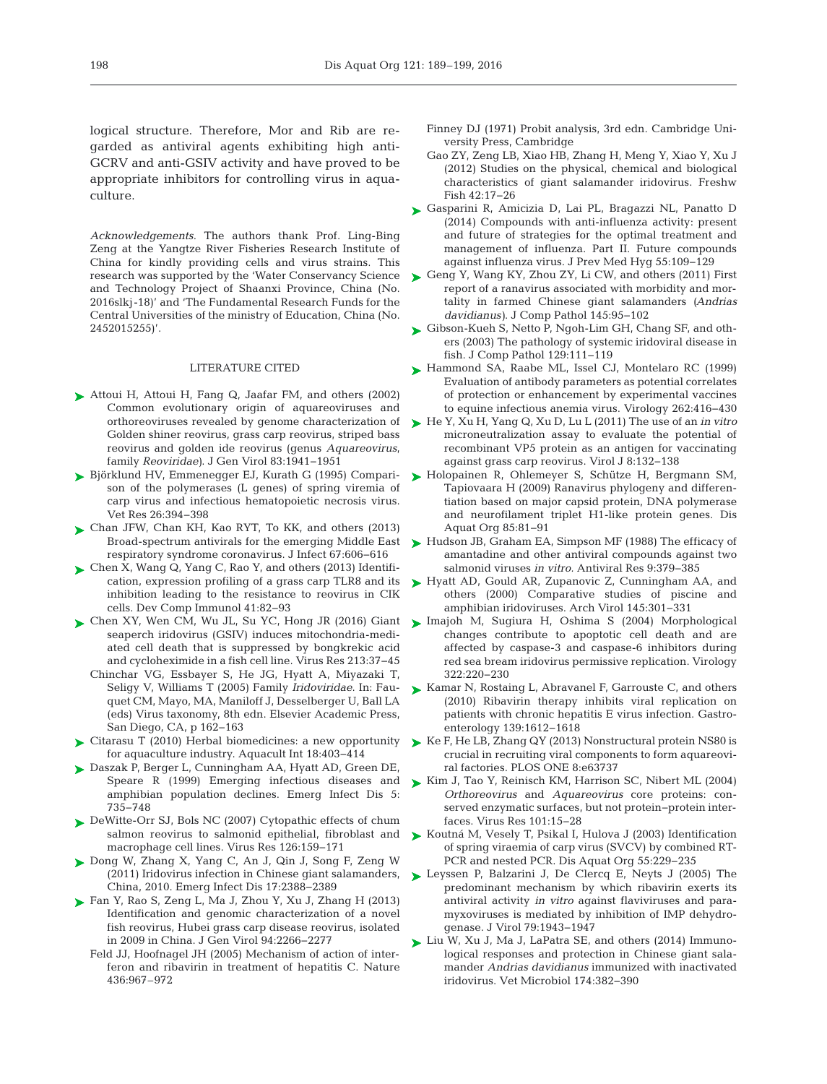logical structure. Therefore, Mor and Rib are regarded as antiviral agents exhibiting high anti-GCRV and anti-GSIV activity and have proved to be appropriate inhibitors for controlling virus in aquaculture.

*Acknowledgements*. The authors thank Prof. Ling-Bing Zeng at the Yangtze River Fisheries Research Institute of China for kindly providing cells and virus strains. This research was supported by the 'Water Conservancy Science and Technology Project of Shaanxi Province, China (No. 2016slkj-18)' and 'The Fundamental Research Funds for the Central Universities of the ministry of Education, China (No. 2452015255)'.

#### LITERATURE CITED

- ▶ [Attoui H, Attoui H, Fang Q, Jaafar FM, and others \(2002\)](http://dx.doi.org/10.1099/0022-1317-83-8-1941) Common evolutionary origin of aquareoviruses and orthoreoviruses revealed by genome characterization of Golden shiner reovirus, grass carp reovirus, striped bass reovirus and golden ide reovirus (genus *Aquareovirus*, family *Reoviridae)*. J Gen Virol 83: 1941−1951
- [Björklund HV, Emmenegger EJ, Kurath G \(1995\) Compari-](http://dx.doi.org/10.1016/j.antiviral.2003.09.005)➤ son of the polymerases (L genes) of spring viremia of carp virus and infectious hematopoietic necrosis virus. Vet Res 26: 394−398
- [Chan JFW, Chan KH, Kao RYT, To KK, and others \(2013\)](http://dx.doi.org/10.1016/j.jinf.2013.09.029) ➤ respiratory syndrome coronavirus. J Infect 67: 606−616
- [Chen X, Wang Q, Yang C, Rao Y, and others \(2013\) Identifi-](http://dx.doi.org/10.1016/j.dci.2013.04.015)➤ cation, expression profiling of a grass carp TLR8 and its inhibition leading to the resistance to reovirus in CIK cells. Dev Comp Immunol 41: 82−93
- ► [Chen XY, Wen CM, Wu JL, Su YC, Hong JR \(2016\) Giant](http://dx.doi.org/10.1016/j.virusres.2015.11.003) ► [Imajoh M, Sugiura H, Oshima S \(2004\) Morphological](http://dx.doi.org/10.1016/j.virol.2004.02.006) seaperch iridovirus (GSIV) induces mitochondria-mediated cell death that is suppressed by bongkrekic acid and cycloheximide in a fish cell line. Virus Res 213: 37−45
	- Chinchar VG, Essbayer S, He JG, Hyatt A, Miyazaki T, Seligy V, Williams T (2005) Family *Iridoviridae*. In: Fauquet CM, Mayo, MA, Maniloff J, Desselberger U, Ball LA (eds) Virus taxonomy, 8th edn. Elsevier Academic Press, San Diego, CA, p 162−163
- ► Citarasu T (2010) Herbal biomedicines: a new opportunity ► [Ke F, He LB, Zhang QY \(2013\) Nonstructural protein NS80 is](http://dx.doi.org/10.1371/journal.pone.0063737) for aquaculture industry. Aquacult Int 18:403-414
- [Daszak P, Berger L, Cunningham AA, Hyatt AD, Green DE,](http://dx.doi.org/10.3201/eid0506.990601) ➤ Speare R (1999) Emerging infectious diseases and amphibian population declines. Emerg Infect Dis 5: 735−748
- ► [DeWitte-Orr SJ, Bols NC \(2007\) Cytopathic effects of chum](http://dx.doi.org/10.1016/j.virusres.2007.02.012) salmon reovirus to salmonid epithelial, fibroblast and macrophage cell lines. Virus Res 126: 159−171
- ▶ [Dong W, Zhang X, Yang C, An J, Qin J, Song F, Zeng W](http://dx.doi.org/10.3201/eid1712.101758) (2011) Iridovirus infection in Chinese giant salamanders, China, 2010. Emerg Infect Dis 17: 2388−2389
- [Fan Y, Rao S, Zeng L, Ma J, Zhou Y, Xu J, Zhang H \(2013\)](http://dx.doi.org/10.1099/vir.0.054767-0) ➤ Identification and genomic characterization of a novel fish reovirus, Hubei grass carp disease reovirus, isolated in 2009 in China. J Gen Virol 94: 2266−2277
	- Feld JJ, Hoofnagel JH (2005) Mechanism of action of interferon and ribavirin in treatment of hepatitis C. Nature 436: 967–972
- Finney DJ (1971) Probit analysis, 3rd edn. Cambridge University Press, Cambridge
- Gao ZY, Zeng LB, Xiao HB, Zhang H, Meng Y, Xiao Y, Xu J (2012) Studies on the physical, chemical and biological characteristics of giant salamander iridovirus. Freshw Fish 42: 17−26
- [Gasparini R, Amicizia D, Lai PL, Bragazzi NL, Panatto D](http://www.ncbi.nlm.nih.gov/entrez/query.fcgi?cmd=Retrieve&db=PubMed&list_uids=26137785&dopt=Abstract) ➤  $(2014)$  Compounds with anti-influenza activity: present and future of strategies for the optimal treatment and management of influenza. Part II. Future compounds against influenza virus. J Prev Med Hyg 55: 109−129
- ► [Geng Y, Wang KY, Zhou ZY, Li CW, and others \(2011\) First](http://dx.doi.org/10.1016/j.jcpa.2010.11.012) report of a ranavirus associated with morbidity and mortality in farmed Chinese giant salamanders *(Andrias davidianus*). J Comp Pathol 145:95-102
- ► [Gibson-Kueh S, Netto P, Ngoh-Lim GH, Chang SF, and oth](http://dx.doi.org/10.1016/S0021-9975(03)00010-0)ers (2003) The pathology of systemic iridoviral disease in fish. J Comp Pathol 129: 111−119
- ▶ [Hammond SA, Raabe ML, Issel CJ, Montelaro RC \(1999\)](http://dx.doi.org/10.1006/viro.1999.9939) Evaluation of antibody parameters as potential correlates of protection or enhancement by experimental vaccines to equine infectious anemia virus. Virology 262: 416−430
- [He Y, Xu H, Yang Q, Xu D, Lu L \(2011\) The use of an](http://dx.doi.org/10.1186/1743-422X-8-132) *in vitro* ➤ microneutralization assay to evaluate the potential of recombinant VP5 protein as an antigen for vaccinating against grass carp reovirus. Virol J 8: 132−138
- ▶ [Holopainen R, Ohlemeyer S, Schütze H, Bergmann SM,](http://dx.doi.org/10.3354/dao02074) Tapiovaara H (2009) Ranavirus phylogeny and differentiation based on major capsid protein, DNA polymerase and neurofilament triplet H1-like protein genes. Dis Aquat Org 85:81-91
- Broad-spectrum antivirals for the emerging Middle East  $\quadblacktriangleright$  [Hudson JB, Graham EA, Simpson MF \(1988\) The efficacy of](http://dx.doi.org/10.1016/0166-3542(88)90039-3) amantadine and other antiviral compounds against two salmonid viruses *in vitro.* Antiviral Res 9:379-385
	- ▶ [Hyatt AD, Gould AR, Zupanovic Z, Cunningham AA, and](http://dx.doi.org/10.1007/s007050050025) others (2000) Comparative studies of piscine and amphibian iridoviruses. Arch Virol 145: 301−331
	- changes contribute to apoptotic cell death and are affected by caspase-3 and caspase-6 inhibitors during red sea bream iridovirus permissive replication. Virology 322: 220−230
	- ► [Kamar N, Rostaing L, Abravanel F, Garrouste C, and others](http://dx.doi.org/10.1053/j.gastro.2010.08.002) (2010) Ribavirin therapy inhibits viral replication on patients with chronic hepatitis E virus infection. Gastroenterology 139:1612-1618
	- crucial in recruiting viral components to form aquareoviral factories. PLOS ONE 8:e63737
	- [Kim J, Tao Y, Reinisch KM, Harrison SC, Nibert ML \(2004\)](http://dx.doi.org/10.1016/j.virusres.2003.12.003) ➤ *Orthoreovirus* and *Aquareovirus* core proteins: conserved enzymatic surfaces, but not protein−protein interfaces. Virus Res 101:15−28
	- [Koutná M, Vesely T, Psikal I, Hulova J \(2003\) Identification](http://dx.doi.org/10.3354/dao055229) ➤ of spring viraemia of carp virus (SVCV) by combined RT-PCR and nested PCR. Dis Aquat Org 55:229-235
	- ► [Leyssen P, Balzarini J, De Clercq E, Neyts J \(2005\) The](http://dx.doi.org/10.1128/JVI.79.3.1943-1947.2005) predominant mechanism by which ribavirin exerts its antiviral activity *in vitro* against flaviviruses and para myxoviruses is mediated by inhibition of IMP dehydrogenase. J Virol 79: 1943−1947
	- [Liu W, Xu J, Ma J, LaPatra SE, and others \(2014\) Immuno-](http://dx.doi.org/10.1016/j.vetmic.2014.10.028)➤ logical responses and protection in Chinese giant salamander *Andrias davidianus* immunized with inactivated iridovirus. Vet Microbiol 174: 382−390